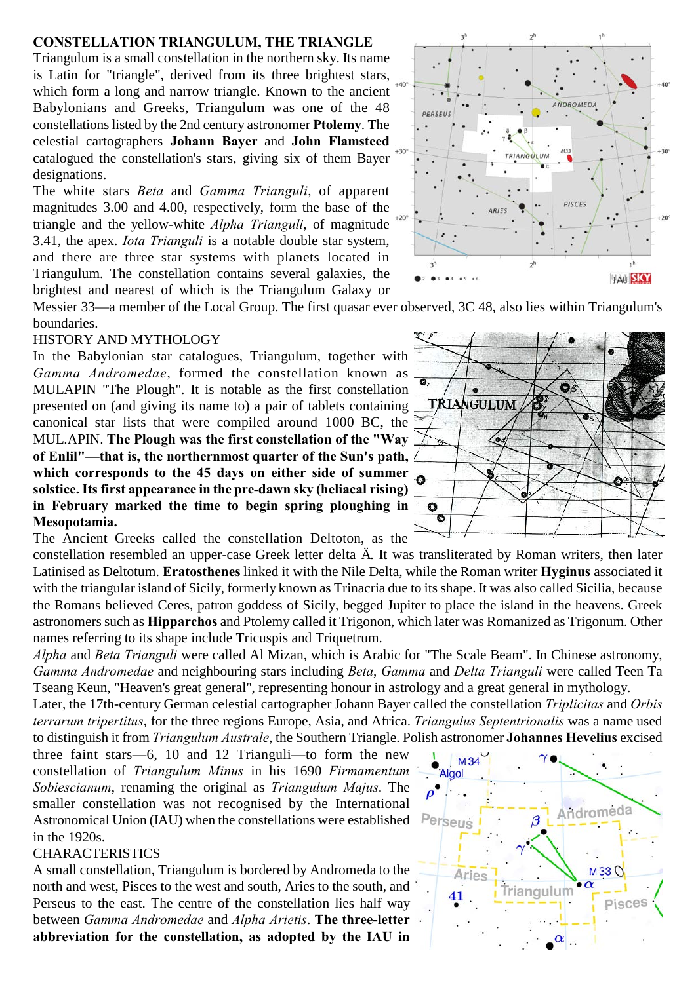## **CONSTELLATION TRIANGULUM, THE TRIANGLE**

Triangulum is a small constellation in the northern sky. Its name is Latin for "triangle", derived from its three brightest stars, which form a long and narrow triangle. Known to the ancient Babylonians and Greeks, Triangulum was one of the 48 constellations listed by the 2nd century astronomer **Ptolemy**. The celestial cartographers **Johann Bayer** and **John Flamsteed** catalogued the constellation's stars, giving six of them Bayer designations.

The white stars *Beta* and *Gamma Trianguli*, of apparent magnitudes 3.00 and 4.00, respectively, form the base of the triangle and the yellow-white *Alpha Trianguli*, of magnitude 3.41, the apex. *Iota Trianguli* is a notable double star system, and there are three star systems with planets located in Triangulum. The constellation contains several galaxies, the brightest and nearest of which is the Triangulum Galaxy or



Messier 33—a member of the Local Group. The first quasar ever observed, 3C 48, also lies within Triangulum's boundaries.

## HISTORY AND MYTHOLOGY

In the Babylonian star catalogues, Triangulum, together with *Gamma Andromedae*, formed the constellation known as MULAPIN "The Plough". It is notable as the first constellation presented on (and giving its name to) a pair of tablets containing canonical star lists that were compiled around 1000 BC, the MUL.APIN. **The Plough was the first constellation of the "Way of Enlil"—that is, the northernmost quarter of the Sun's path,** which corresponds to the 45 days on either side of summer **solstice. Its first appearance in the pre-dawn sky (heliacal rising) in February marked the time to begin spring ploughing in Mesopotamia.**

The Ancient Greeks called the constellation Deltoton, as the

constellation resembled an upper-case Greek letter delta Ä. It was transliterated by Roman writers, then later Latinised as Deltotum. **Eratosthenes** linked it with the Nile Delta, while the Roman writer **Hyginus** associated it with the triangular island of Sicily, formerly known as Trinacria due to its shape. It was also called Sicilia, because the Romans believed Ceres, patron goddess of Sicily, begged Jupiter to place the island in the heavens. Greek astronomers such as **Hipparchos** and Ptolemy called it Trigonon, which later was Romanized as Trigonum. Other names referring to its shape include Tricuspis and Triquetrum.

*Alpha* and *Beta Trianguli* were called Al Mizan, which is Arabic for "The Scale Beam". In Chinese astronomy, *Gamma Andromedae* and neighbouring stars including *Beta*, *Gamma* and *Delta Trianguli* were called Teen Ta Tseang Keun, "Heaven's great general", representing honour in astrology and a great general in mythology.

Later, the 17th-century German celestial cartographer Johann Bayer called the constellation *Triplicitas* and *Orbis terrarum tripertitus*, for the three regions Europe, Asia, and Africa. *Triangulus Septentrionalis* was a name used to distinguish it from *Triangulum Australe*, the Southern Triangle. Polish astronomer **Johannes Hevelius** excised

three faint stars—6, 10 and 12 Trianguli—to form the new constellation of *Triangulum Minus* in his 1690 *Firmamentum Sobiescianum*, renaming the original as *Triangulum Majus*. The smaller constellation was not recognised by the International Astronomical Union (IAU) when the constellations were established in the 1920s.

## CHARACTERISTICS

A small constellation, Triangulum is bordered by Andromeda to the north and west, Pisces to the west and south, Aries to the south, and Perseus to the east. The centre of the constellation lies half way between *Gamma Andromedae* and *Alpha Arietis*. **The three-letter abbreviation for the constellation, as adopted by the IAU in**